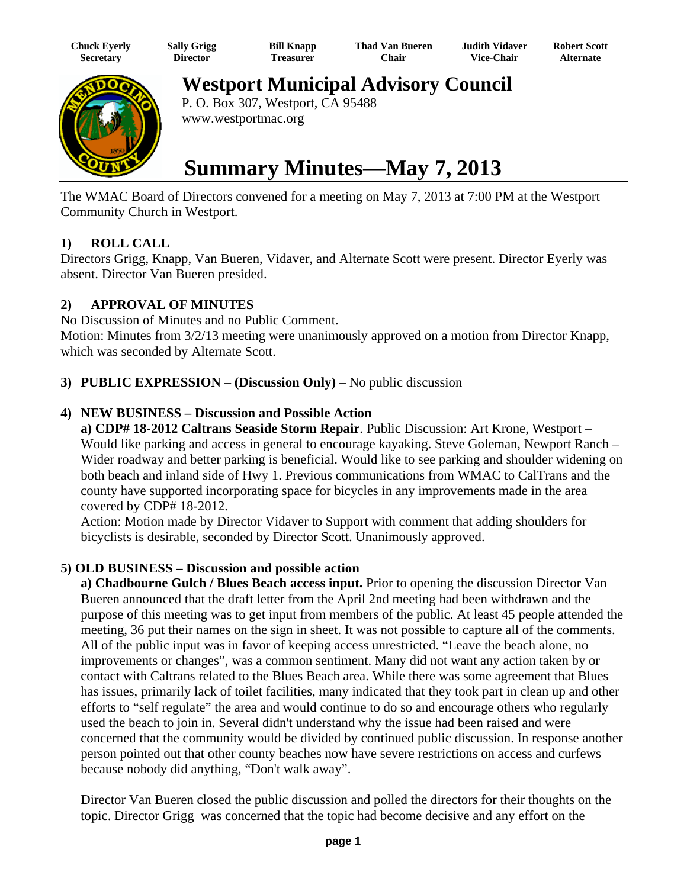| Chuck Eyerly     | <b>Sally Grigg</b> | <b>Bill Knapp</b> | <b>Thad Van Bueren</b> | Judith Vidaver    | <b>Robert Scott</b> |
|------------------|--------------------|-------------------|------------------------|-------------------|---------------------|
| <b>Secretary</b> | <b>Director</b>    | l`reasurer        | Chair                  | <b>Vice-Chair</b> | Alternate           |



**Westport Municipal Advisory Council**

P. O. Box 307, Westport, CA 95488 www.westportmac.org

# **Summary Minutes—May 7, 2013**

The WMAC Board of Directors convened for a meeting on May 7, 2013 at 7:00 PM at the Westport Community Church in Westport.

### **1) ROLL CALL**

Directors Grigg, Knapp, Van Bueren, Vidaver, and Alternate Scott were present. Director Eyerly was absent. Director Van Bueren presided.

## **2) APPROVAL OF MINUTES**

No Discussion of Minutes and no Public Comment. Motion: Minutes from 3/2/13 meeting were unanimously approved on a motion from Director Knapp, which was seconded by Alternate Scott.

### **3) PUBLIC EXPRESSION** – **(Discussion Only)** – No public discussion

### **4) NEW BUSINESS – Discussion and Possible Action**

**a) CDP# 18-2012 Caltrans Seaside Storm Repair**. Public Discussion: Art Krone, Westport – Would like parking and access in general to encourage kayaking. Steve Goleman, Newport Ranch – Wider roadway and better parking is beneficial. Would like to see parking and shoulder widening on both beach and inland side of Hwy 1. Previous communications from WMAC to CalTrans and the county have supported incorporating space for bicycles in any improvements made in the area covered by CDP# 18-2012.

Action: Motion made by Director Vidaver to Support with comment that adding shoulders for bicyclists is desirable, seconded by Director Scott. Unanimously approved.

### **5) OLD BUSINESS – Discussion and possible action**

**a) Chadbourne Gulch / Blues Beach access input.** Prior to opening the discussion Director Van Bueren announced that the draft letter from the April 2nd meeting had been withdrawn and the purpose of this meeting was to get input from members of the public. At least 45 people attended the meeting, 36 put their names on the sign in sheet. It was not possible to capture all of the comments. All of the public input was in favor of keeping access unrestricted. "Leave the beach alone, no improvements or changes", was a common sentiment. Many did not want any action taken by or contact with Caltrans related to the Blues Beach area. While there was some agreement that Blues has issues, primarily lack of toilet facilities, many indicated that they took part in clean up and other efforts to "self regulate" the area and would continue to do so and encourage others who regularly used the beach to join in. Several didn't understand why the issue had been raised and were concerned that the community would be divided by continued public discussion. In response another person pointed out that other county beaches now have severe restrictions on access and curfews because nobody did anything, "Don't walk away".

Director Van Bueren closed the public discussion and polled the directors for their thoughts on the topic. Director Grigg was concerned that the topic had become decisive and any effort on the